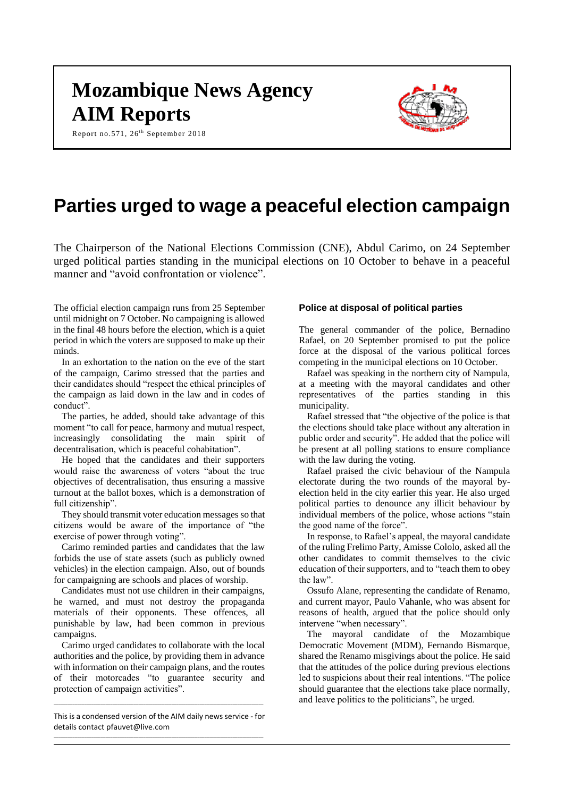# **Mozambique News Agency AIM Reports**

Report no.571, 26<sup>th</sup> September 2018



# **Parties urged to wage a peaceful election campaign**

The Chairperson of the National Elections Commission (CNE), Abdul Carimo, on 24 September urged political parties standing in the municipal elections on 10 October to behave in a peaceful manner and "avoid confrontation or violence".

The official election campaign runs from 25 September until midnight on 7 October. No campaigning is allowed in the final 48 hours before the election, which is a quiet period in which the voters are supposed to make up their minds.

In an exhortation to the nation on the eve of the start of the campaign, Carimo stressed that the parties and their candidates should "respect the ethical principles of the campaign as laid down in the law and in codes of conduct".

The parties, he added, should take advantage of this moment "to call for peace, harmony and mutual respect, increasingly consolidating the main spirit of decentralisation, which is peaceful cohabitation".

He hoped that the candidates and their supporters would raise the awareness of voters "about the true objectives of decentralisation, thus ensuring a massive turnout at the ballot boxes, which is a demonstration of full citizenship".

They should transmit voter education messages so that citizens would be aware of the importance of "the exercise of power through voting".

Carimo reminded parties and candidates that the law forbids the use of state assets (such as publicly owned vehicles) in the election campaign. Also, out of bounds for campaigning are schools and places of worship.

Candidates must not use children in their campaigns, he warned, and must not destroy the propaganda materials of their opponents. These offences, all punishable by law, had been common in previous campaigns.

Carimo urged candidates to collaborate with the local authorities and the police, by providing them in advance with information on their campaign plans, and the routes of their motorcades "to guarantee security and protection of campaign activities".

#### This is a condensed version of the AIM daily news service - for details contac[t pfauvet@live.com](mailto:pfauvet@live.com) \_\_\_\_\_\_\_\_\_\_\_\_\_\_\_\_\_\_\_\_\_\_\_\_\_\_\_\_\_\_\_\_\_\_\_\_\_\_\_\_\_\_\_\_\_\_\_\_\_\_\_\_\_\_\_\_\_\_\_\_\_\_\_\_\_\_\_\_\_\_\_\_\_\_\_\_\_\_\_\_\_\_\_\_\_\_\_\_\_

 $\_$  ,  $\_$  ,  $\_$  ,  $\_$  ,  $\_$  ,  $\_$  ,  $\_$  ,  $\_$  ,  $\_$  ,  $\_$  ,  $\_$  ,  $\_$  ,  $\_$  ,  $\_$  ,  $\_$  ,  $\_$  ,  $\_$  ,  $\_$  ,  $\_$  ,  $\_$  ,  $\_$  ,  $\_$  ,  $\_$  ,  $\_$  ,  $\_$  ,  $\_$  ,  $\_$  ,  $\_$  ,  $\_$  ,  $\_$  ,  $\_$  ,  $\_$  ,  $\_$  ,  $\_$  ,  $\_$  ,  $\_$  ,  $\_$  ,

### **Police at disposal of political parties**

The general commander of the police, Bernadino Rafael, on 20 September promised to put the police force at the disposal of the various political forces competing in the municipal elections on 10 October.

Rafael was speaking in the northern city of Nampula, at a meeting with the mayoral candidates and other representatives of the parties standing in this municipality.

Rafael stressed that "the objective of the police is that the elections should take place without any alteration in public order and security". He added that the police will be present at all polling stations to ensure compliance with the law during the voting.

Rafael praised the civic behaviour of the Nampula electorate during the two rounds of the mayoral byelection held in the city earlier this year. He also urged political parties to denounce any illicit behaviour by individual members of the police, whose actions "stain the good name of the force".

In response, to Rafael's appeal, the mayoral candidate of the ruling Frelimo Party, Amisse Cololo, asked all the other candidates to commit themselves to the civic education of their supporters, and to "teach them to obey the law".

Ossufo Alane, representing the candidate of Renamo, and current mayor, Paulo Vahanle, who was absent for reasons of health, argued that the police should only intervene "when necessary".

The mayoral candidate of the Mozambique Democratic Movement (MDM), Fernando Bismarque, shared the Renamo misgivings about the police. He said that the attitudes of the police during previous elections led to suspicions about their real intentions. "The police should guarantee that the elections take place normally, and leave politics to the politicians", he urged.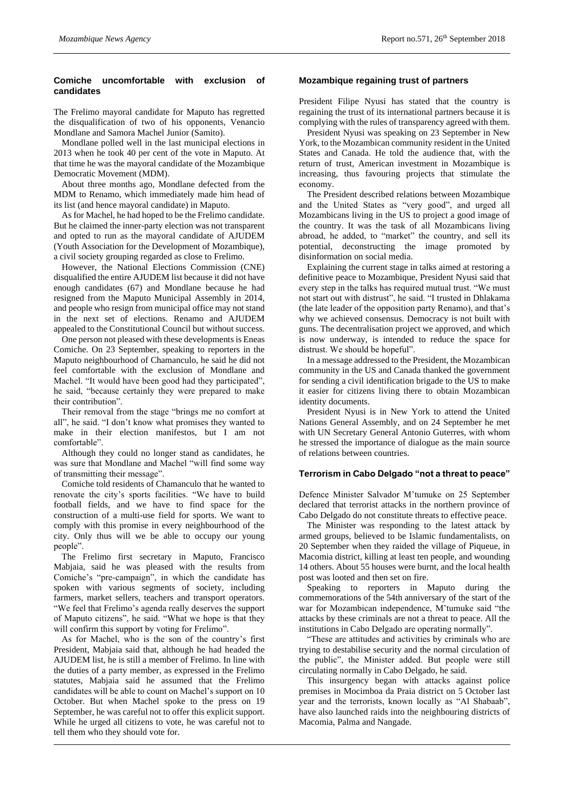# **Comiche uncomfortable with exclusion of candidates**

The Frelimo mayoral candidate for Maputo has regretted the disqualification of two of his opponents, Venancio Mondlane and Samora Machel Junior (Samito).

Mondlane polled well in the last municipal elections in 2013 when he took 40 per cent of the vote in Maputo. At that time he was the mayoral candidate of the Mozambique Democratic Movement (MDM).

About three months ago, Mondlane defected from the MDM to Renamo, which immediately made him head of its list (and hence mayoral candidate) in Maputo.

As for Machel, he had hoped to be the Frelimo candidate. But he claimed the inner-party election was not transparent and opted to run as the mayoral candidate of AJUDEM (Youth Association for the Development of Mozambique), a civil society grouping regarded as close to Frelimo.

However, the National Elections Commission (CNE) disqualified the entire AJUDEM list because it did not have enough candidates (67) and Mondlane because he had resigned from the Maputo Municipal Assembly in 2014, and people who resign from municipal office may not stand in the next set of elections. Renamo and AJUDEM appealed to the Constitutional Council but without success.

One person not pleased with these developments is Eneas Comiche. On 23 September, speaking to reporters in the Maputo neighbourhood of Chamanculo, he said he did not feel comfortable with the exclusion of Mondlane and Machel. "It would have been good had they participated", he said, "because certainly they were prepared to make their contribution".

Their removal from the stage "brings me no comfort at all", he said. "I don't know what promises they wanted to make in their election manifestos, but I am not comfortable".

Although they could no longer stand as candidates, he was sure that Mondlane and Machel "will find some way of transmitting their message".

Comiche told residents of Chamanculo that he wanted to renovate the city's sports facilities. "We have to build football fields, and we have to find space for the construction of a multi-use field for sports. We want to comply with this promise in every neighbourhood of the city. Only thus will we be able to occupy our young people".

The Frelimo first secretary in Maputo, Francisco Mabjaia, said he was pleased with the results from Comiche's "pre-campaign", in which the candidate has spoken with various segments of society, including farmers, market sellers, teachers and transport operators. "We feel that Frelimo's agenda really deserves the support of Maputo citizens", he said. "What we hope is that they will confirm this support by voting for Frelimo".

As for Machel, who is the son of the country's first President, Mabjaia said that, although he had headed the AJUDEM list, he is still a member of Frelimo. In line with the duties of a party member, as expressed in the Frelimo statutes, Mabjaia said he assumed that the Frelimo candidates will be able to count on Machel's support on 10 October. But when Machel spoke to the press on 19 September, he was careful not to offer this explicit support. While he urged all citizens to vote, he was careful not to tell them who they should vote for.

## **Mozambique regaining trust of partners**

President Filipe Nyusi has stated that the country is regaining the trust of its international partners because it is complying with the rules of transparency agreed with them.

President Nyusi was speaking on 23 September in New York, to the Mozambican community resident in the United States and Canada. He told the audience that, with the return of trust, American investment in Mozambique is increasing, thus favouring projects that stimulate the economy.

The President described relations between Mozambique and the United States as "very good", and urged all Mozambicans living in the US to project a good image of the country. It was the task of all Mozambicans living abroad, he added, to "market" the country, and sell its potential, deconstructing the image promoted by disinformation on social media.

Explaining the current stage in talks aimed at restoring a definitive peace to Mozambique, President Nyusi said that every step in the talks has required mutual trust. "We must not start out with distrust", he said. "I trusted in Dhlakama (the late leader of the opposition party Renamo), and that's why we achieved consensus. Democracy is not built with guns. The decentralisation project we approved, and which is now underway, is intended to reduce the space for distrust. We should be hopeful".

In a message addressed to the President, the Mozambican community in the US and Canada thanked the government for sending a civil identification brigade to the US to make it easier for citizens living there to obtain Mozambican identity documents.

President Nyusi is in New York to attend the United Nations General Assembly, and on 24 September he met with UN Secretary General Antonio Guterres, with whom he stressed the importance of dialogue as the main source of relations between countries.

# **Terrorism in Cabo Delgado "not a threat to peace"**

Defence Minister Salvador M'tumuke on 25 September declared that terrorist attacks in the northern province of Cabo Delgado do not constitute threats to effective peace.

The Minister was responding to the latest attack by armed groups, believed to be Islamic fundamentalists, on 20 September when they raided the village of Piqueue, in Macomia district, killing at least ten people, and wounding 14 others. About 55 houses were burnt, and the local health post was looted and then set on fire.

Speaking to reporters in Maputo during the commemorations of the 54th anniversary of the start of the war for Mozambican independence, M'tumuke said "the attacks by these criminals are not a threat to peace. All the institutions in Cabo Delgado are operating normally".

"These are attitudes and activities by criminals who are trying to destabilise security and the normal circulation of the public", the Minister added. But people were still circulating normally in Cabo Delgado, he said.

This insurgency began with attacks against police premises in Mocimboa da Praia district on 5 October last year and the terrorists, known locally as "Al Shabaab", have also launched raids into the neighbouring districts of Macomia, Palma and Nangade.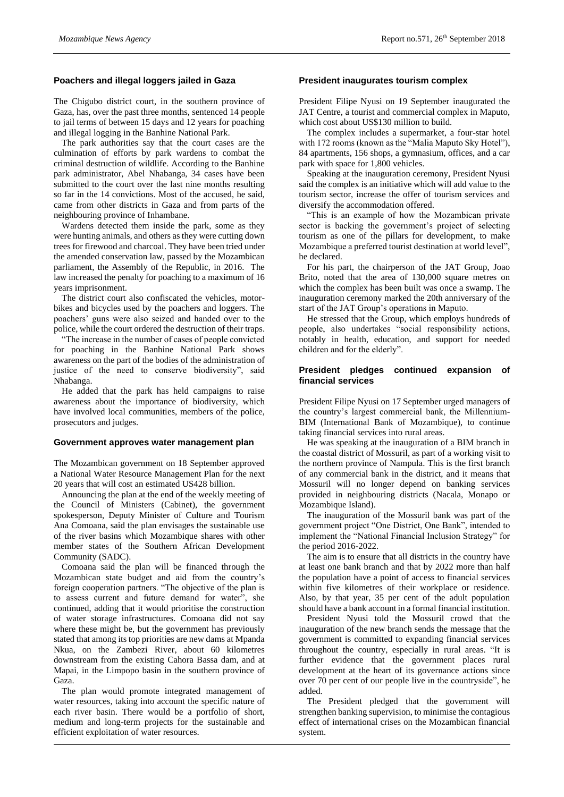# **Poachers and illegal loggers jailed in Gaza**

The Chigubo district court, in the southern province of Gaza, has, over the past three months, sentenced 14 people to jail terms of between 15 days and 12 years for poaching and illegal logging in the Banhine National Park.

The park authorities say that the court cases are the culmination of efforts by park wardens to combat the criminal destruction of wildlife. According to the Banhine park administrator, Abel Nhabanga, 34 cases have been submitted to the court over the last nine months resulting so far in the 14 convictions. Most of the accused, he said, came from other districts in Gaza and from parts of the neighbouring province of Inhambane.

Wardens detected them inside the park, some as they were hunting animals, and others as they were cutting down trees for firewood and charcoal. They have been tried under the amended conservation law, passed by the Mozambican parliament, the Assembly of the Republic, in 2016. The law increased the penalty for poaching to a maximum of 16 years imprisonment.

The district court also confiscated the vehicles, motorbikes and bicycles used by the poachers and loggers. The poachers' guns were also seized and handed over to the police, while the court ordered the destruction of their traps.

"The increase in the number of cases of people convicted for poaching in the Banhine National Park shows awareness on the part of the bodies of the administration of justice of the need to conserve biodiversity", said Nhabanga.

He added that the park has held campaigns to raise awareness about the importance of biodiversity, which have involved local communities, members of the police, prosecutors and judges.

#### **Government approves water management plan**

The Mozambican government on 18 September approved a National Water Resource Management Plan for the next 20 years that will cost an estimated US428 billion.

Announcing the plan at the end of the weekly meeting of the Council of Ministers (Cabinet), the government spokesperson, Deputy Minister of Culture and Tourism Ana Comoana, said the plan envisages the sustainable use of the river basins which Mozambique shares with other member states of the Southern African Development Community (SADC).

Comoana said the plan will be financed through the Mozambican state budget and aid from the country's foreign cooperation partners. "The objective of the plan is to assess current and future demand for water", she continued, adding that it would prioritise the construction of water storage infrastructures. Comoana did not say where these might be, but the government has previously stated that among its top priorities are new dams at Mpanda Nkua, on the Zambezi River, about 60 kilometres downstream from the existing Cahora Bassa dam, and at Mapai, in the Limpopo basin in the southern province of Gaza.

The plan would promote integrated management of water resources, taking into account the specific nature of each river basin. There would be a portfolio of short, medium and long-term projects for the sustainable and efficient exploitation of water resources.

### **President inaugurates tourism complex**

President Filipe Nyusi on 19 September inaugurated the JAT Centre, a tourist and commercial complex in Maputo, which cost about US\$130 million to build.

The complex includes a supermarket, a four-star hotel with 172 rooms (known as the "Malia Maputo Sky Hotel"), 84 apartments, 156 shops, a gymnasium, offices, and a car park with space for 1,800 vehicles.

Speaking at the inauguration ceremony, President Nyusi said the complex is an initiative which will add value to the tourism sector, increase the offer of tourism services and diversify the accommodation offered.

"This is an example of how the Mozambican private sector is backing the government's project of selecting tourism as one of the pillars for development, to make Mozambique a preferred tourist destination at world level", he declared.

For his part, the chairperson of the JAT Group, Joao Brito, noted that the area of 130,000 square metres on which the complex has been built was once a swamp. The inauguration ceremony marked the 20th anniversary of the start of the JAT Group's operations in Maputo.

He stressed that the Group, which employs hundreds of people, also undertakes "social responsibility actions, notably in health, education, and support for needed children and for the elderly".

## **President pledges continued expansion of financial services**

President Filipe Nyusi on 17 September urged managers of the country's largest commercial bank, the Millennium-BIM (International Bank of Mozambique), to continue taking financial services into rural areas.

He was speaking at the inauguration of a BIM branch in the coastal district of Mossuril, as part of a working visit to the northern province of Nampula. This is the first branch of any commercial bank in the district, and it means that Mossuril will no longer depend on banking services provided in neighbouring districts (Nacala, Monapo or Mozambique Island).

The inauguration of the Mossuril bank was part of the government project "One District, One Bank", intended to implement the "National Financial Inclusion Strategy" for the period 2016-2022.

The aim is to ensure that all districts in the country have at least one bank branch and that by 2022 more than half the population have a point of access to financial services within five kilometres of their workplace or residence. Also, by that year, 35 per cent of the adult population should have a bank account in a formal financial institution.

President Nyusi told the Mossuril crowd that the inauguration of the new branch sends the message that the government is committed to expanding financial services throughout the country, especially in rural areas. "It is further evidence that the government places rural development at the heart of its governance actions since over 70 per cent of our people live in the countryside", he added.

The President pledged that the government will strengthen banking supervision, to minimise the contagious effect of international crises on the Mozambican financial system.